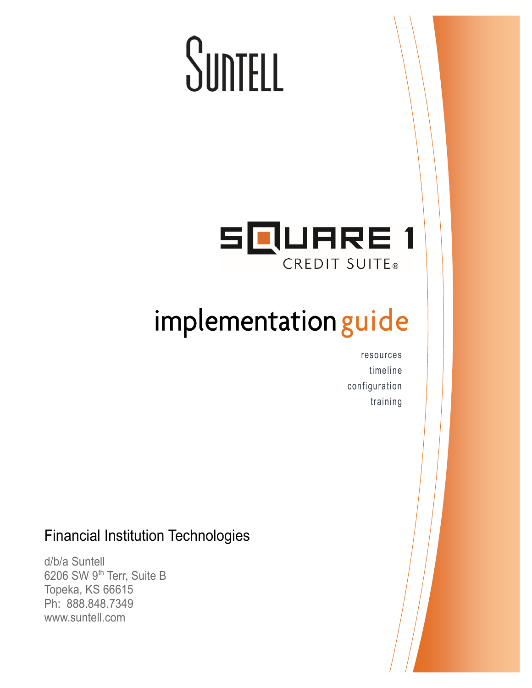# SuntELL



# implementation guide

resources timeline configuration training

### Financial Institution Technologies

d/b/a Suntell 6206 SW 9<sup>th</sup> Terr, Suite B Topeka, KS 66615 Ph: 888.848.7349 www.suntell.com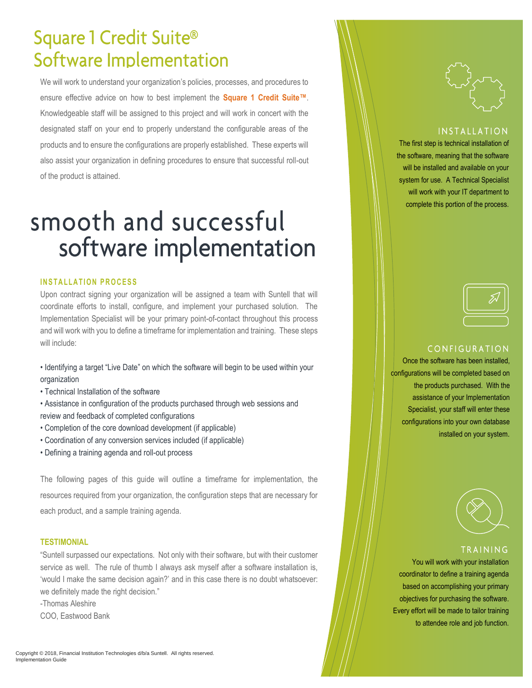# **Square 1 Credit Suite®** Software Implementation

We will work to understand your organization's policies, processes, and procedures to ensure effective advice on how to best implement the **Square 1 Credit Suite™**. Knowledgeable staff will be assigned to this project and will work in concert with the designated staff on your end to properly understand the configurable areas of the products and to ensure the configurations are properly established. These experts will also assist your organization in defining procedures to ensure that successful roll-out of the product is attained.

# smooth and successful software implementation

#### **INSTALLATION PROCESS**

Upon contract signing your organization will be assigned a team with Suntell that will coordinate efforts to install, configure, and implement your purchased solution. The Implementation Specialist will be your primary point-of-contact throughout this process and will work with you to define a timeframe for implementation and training. These steps will include:

- Identifying a target "Live Date" on which the software will begin to be used within your organization
- Technical Installation of the software
- Assistance in configuration of the products purchased through web sessions and review and feedback of completed configurations
- Completion of the core download development (if applicable)
- Coordination of any conversion services included (if applicable)
- Defining a training agenda and roll-out process

The following pages of this guide will outline a timeframe for implementation, the resources required from your organization, the configuration steps that are necessary for each product, and a sample training agenda.

#### **TESTIMONIAL**

"Suntell surpassed our expectations. Not only with their software, but with their customer service as well. The rule of thumb I always ask myself after a software installation is, 'would I make the same decision again?' and in this case there is no doubt whatsoever: we definitely made the right decision."

-Thomas Aleshire

COO, Eastwood Bank

#### **INSTALLATION**

The first step is technical installation of the software, meaning that the software will be installed and available on your system for use. A Technical Specialist will work with your IT department to complete this portion of the process.



#### CONFIGURATION

Once the software has been installed, configurations will be completed based on the products purchased. With the assistance of your Implementation Specialist, your staff will enter these configurations into your own database installed on your system.



#### TRAINING

You will work with your installation coordinator to define a training agenda based on accomplishing your primary objectives for purchasing the software. Every effort will be made to tailor training to attendee role and job function.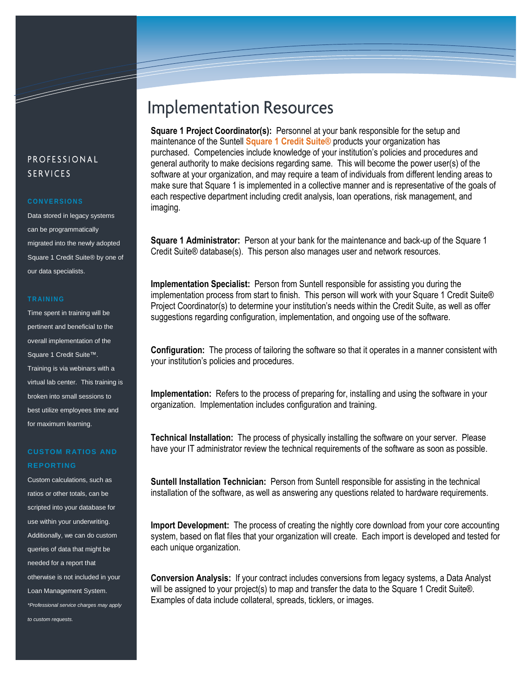#### PROFESSIONAL **SERVICES**

and the contract of the contract of the contract of the contract of the contract of the contract of the contract of the contract of the contract of the contract of the contract of the contract of the contract of the contra

Data stored in legacy systems can be programmatically migrated into the newly adopted Square 1 Credit Suite® by one of our data specialists.

#### **T R A I N I N G**

Time spent in training will be pertinent and beneficial to the overall implementation of the Square 1 Credit Suite™. Training is via webinars with a virtual lab center. This training is broken into small sessions to best utilize employees time and for maximum learning.

#### **CUSTOM R ATIOS AND REPORTING**

Custom calculations, such as ratios or other totals, can be scripted into your database for use within your underwriting. Additionally, we can do custom queries of data that might be needed for a report that otherwise is not included in your Loan Management System. *\*Professional service charges may apply to custom requests.*

## **Implementation Resources**

**Square 1 Project Coordinator(s):** Personnel at your bank responsible for the setup and maintenance of the Suntell **Square 1 Credit Suite®** products your organization has purchased. Competencies include knowledge of your institution's policies and procedures and general authority to make decisions regarding same. This will become the power user(s) of the software at your organization, and may require a team of individuals from different lending areas to make sure that Square 1 is implemented in a collective manner and is representative of the goals of each respective department including credit analysis, loan operations, risk management, and imaging.

**Square 1 Administrator:** Person at your bank for the maintenance and back-up of the Square 1 Credit Suite® database(s). This person also manages user and network resources.

**Implementation Specialist:** Person from Suntell responsible for assisting you during the implementation process from start to finish. This person will work with your Square 1 Credit Suite® Project Coordinator(s) to determine your institution's needs within the Credit Suite, as well as offer suggestions regarding configuration, implementation, and ongoing use of the software.

**Configuration:** The process of tailoring the software so that it operates in a manner consistent with your institution's policies and procedures.

**Implementation:** Refers to the process of preparing for, installing and using the software in your organization. Implementation includes configuration and training.

**Technical Installation:** The process of physically installing the software on your server. Please have your IT administrator review the technical requirements of the software as soon as possible.

**Suntell Installation Technician:** Person from Suntell responsible for assisting in the technical installation of the software, as well as answering any questions related to hardware requirements.

**Import Development:** The process of creating the nightly core download from your core accounting system, based on flat files that your organization will create. Each import is developed and tested for each unique organization.

**Conversion Analysis:** If your contract includes conversions from legacy systems, a Data Analyst will be assigned to your project(s) to map and transfer the data to the Square 1 Credit Suite®. Examples of data include collateral, spreads, ticklers, or images.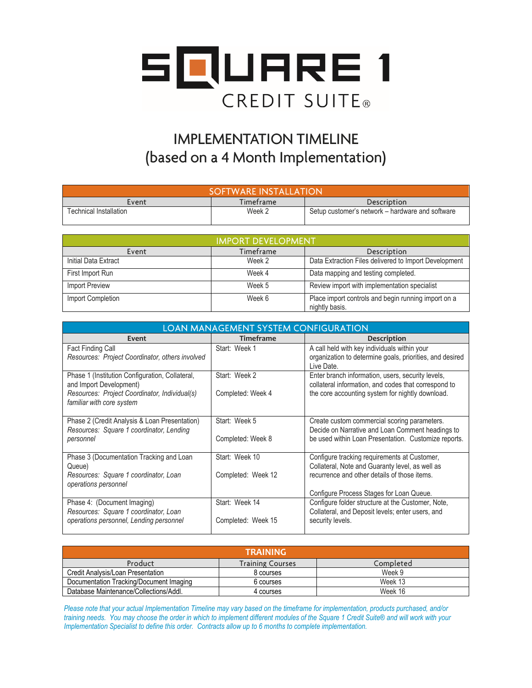

## **IMPLEMENTATION TIMELINE** (based on a 4 Month Implementation)

| SOFTWARE INSTALLATION         |           |                                                  |
|-------------------------------|-----------|--------------------------------------------------|
| Event                         | Timeframe | Description                                      |
| <b>Fechnical Installation</b> | Week 2    | Setup customer's network – hardware and software |

| <b>IMPORT DEVELOPMENT</b> |           |                                                                       |
|---------------------------|-----------|-----------------------------------------------------------------------|
| Event                     | Timeframe | Description                                                           |
| Initial Data Extract      | Week 2    | Data Extraction Files delivered to Import Development                 |
| First Import Run          | Week 4    | Data mapping and testing completed.                                   |
| <b>Import Preview</b>     | Week 5    | Review import with implementation specialist                          |
| Import Completion         | Week 6    | Place import controls and begin running import on a<br>nightly basis. |

| <b>LOAN MANAGEMENT SYSTEM CONFIGURATION</b>                                |                    |                                                                        |
|----------------------------------------------------------------------------|--------------------|------------------------------------------------------------------------|
| Event                                                                      | <b>Timeframe</b>   | <b>Description</b>                                                     |
| <b>Fact Finding Call</b>                                                   | Start: Week 1      | A call held with key individuals within your                           |
| Resources: Project Coordinator, others involved                            |                    | organization to determine goals, priorities, and desired<br>Live Date. |
| Phase 1 (Institution Configuration, Collateral,                            | Start: Week 2      | Enter branch information, users, security levels,                      |
| and Import Development)                                                    |                    | collateral information, and codes that correspond to                   |
| Resources: Project Coordinator, Individual(s)<br>familiar with core system | Completed: Week 4  | the core accounting system for nightly download.                       |
| Phase 2 (Credit Analysis & Loan Presentation)                              | Start: Week 5      | Create custom commercial scoring parameters.                           |
| Resources: Square 1 coordinator, Lending                                   |                    | Decide on Narrative and Loan Comment headings to                       |
| personnel                                                                  | Completed: Week 8  | be used within Loan Presentation. Customize reports.                   |
| Phase 3 (Documentation Tracking and Loan                                   | Start: Week 10     | Configure tracking requirements at Customer,                           |
| Queue)                                                                     |                    | Collateral, Note and Guaranty level, as well as                        |
| Resources: Square 1 coordinator, Loan<br>operations personnel              | Completed: Week 12 | recurrence and other details of those items.                           |
|                                                                            |                    | Configure Process Stages for Loan Queue.                               |
| Phase 4: (Document Imaging)                                                | Start: Week 14     | Configure folder structure at the Customer, Note,                      |
| Resources: Square 1 coordinator, Loan                                      |                    | Collateral, and Deposit levels; enter users, and                       |
| operations personnel, Lending personnel                                    | Completed: Week 15 | security levels.                                                       |
|                                                                            |                    |                                                                        |

| <b>TRAINING</b>                         |                         |           |
|-----------------------------------------|-------------------------|-----------|
| Product                                 | <b>Training Courses</b> | Completed |
| Credit Analysis/Loan Presentation       | 8 courses               | Week 9    |
| Documentation Tracking/Document Imaging | 6 courses               | Week 13   |
| Database Maintenance/Collections/Addl.  | 4 courses               | Week 16   |

*Please note that your actual Implementation Timeline may vary based on the timeframe for implementation, products purchased, and/or training needs. You may choose the order in which to implement different modules of the Square 1 Credit Suite® and will work with your Implementation Specialist to define this order. Contracts allow up to 6 months to complete implementation.*